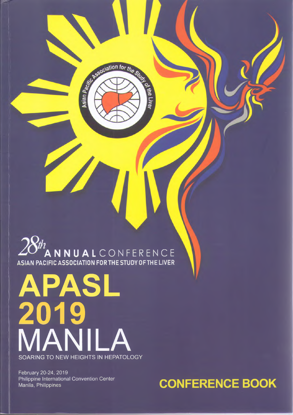ANNUALCONFERENCE **ASIAN PACIFIC ASSOCIATION FORTHESTUDYOFTHELIVER**

Asian Pacific

tion for the Strict

**A** the Live

# **PASL<br>19** 01 MANILA **SOARING TO NEW HEIGHTS IN HEPATOLOGY**

February 20-24, 2019 Philippine International Convention Center

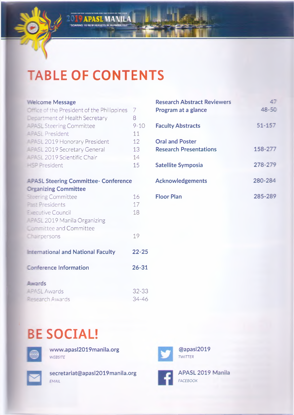

**DE 9 APASL MANILA** 

#### **•'.elcome Message**

| <b>Comparent Contract Contract Contract Contract Contract Contract Contract Contract Contract Contract Contract Contract Contract Contract Contract Contract Contract Contract Contract Contract Contract Contract Contract Cont</b> |          |
|--------------------------------------------------------------------------------------------------------------------------------------------------------------------------------------------------------------------------------------|----------|
| Department of Health Secretary                                                                                                                                                                                                       | x        |
| <b>EXECUTE: SL Steering Committee</b>                                                                                                                                                                                                | $9 - 10$ |
| -PASL President                                                                                                                                                                                                                      | 11       |
| ---SL 2019 Honorary President                                                                                                                                                                                                        | 12       |
| <b>EPASL 2019 Secretary General</b>                                                                                                                                                                                                  | 13       |
| <b>EPASL 2019 Scientific Chair</b>                                                                                                                                                                                                   | 14       |
| - President                                                                                                                                                                                                                          | 15       |

#### **- ^ASL Steering Committee- Conference Creanizing Committee**

| <b>Steering Committee</b>                 | 16        |
|-------------------------------------------|-----------|
|                                           |           |
| <b>Past Presidents</b>                    | 17        |
| E equtive Council                         | 18        |
| $-$ 24SL 2019 Manila Organizing           |           |
| <b>Example 2 and Committee</b>            |           |
| $C = 1$                                   | 19        |
| <b>International and National Faculty</b> | $22 - 25$ |
| <b>Conference Information</b>             | 26-31     |

| <b>Research Abstract Reviewers</b><br>Program at a glance | 47<br>48-50 |
|-----------------------------------------------------------|-------------|
| <b>Faculty Abstracts</b>                                  | $51 - 157$  |
| <b>Oral and Poster</b><br><b>Research Presentations</b>   | 158-277     |
| <b>Satellite Symposia</b>                                 | 278-279     |
| <b>Acknowledgements</b>                                   | 280-284     |
| Floor Plan                                                | 285-289     |

## **LEASL Awards Pesearch Awards**

# **BE SOCIAL!**



**Awards**

**[www.apasl2019manila.org](http://www.apasl2019manila.org)** *WEBSITE*



**[secretariat@apasl2019manila.org](mailto:secretariat@apasl2019manila.org)** *EMAIL*



**@apasl2019** *TWITTER*



32-33 34-46

> **APASL 2019 Manila** *FACEBOOK*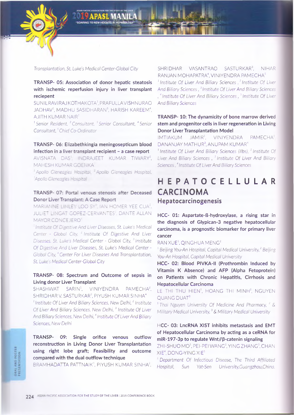

*Transplantation, St. Luke's Medical Center-Global City*

#### TRANSP- 05: Association of donor hepatic steatosis with ischemic reperfusion injury in liver transplant reciepent

SUNILRAVIRAJ KOTHAKOTA:,PRAFULLAVISHNURAO JADHAV<sup>2</sup>, MADHU SASIDHARAN<sup>3</sup>, HARISH KAREEM<sup>4</sup>, AJITH KUMAR NAIR<sup>5</sup>

*1 Senior Resident, 2 Consultant, 3 Senior Consultant, 4 Senior* Consultant,<sup>5</sup> Chief Co-Ordinator

#### TRANSP- 06: Elizabethkingia meningosepticum blood infection in a liver transplant recipient - a case report

AVISNATA DAS. INDRAJEET KUMAR TIWARY<sup>2</sup>, MAHESH KUMAR GOENKA<sup>3</sup>

**Apollo Gleneagles Hospital. Apollo Gleneagles Hospital.** *3Apollo Gleneagles Hosc ta*

#### TRANSP- 07: Portal venous stenosis after Deceased Donor Liver Transplant: A Case Report

MARIANNE LINLEY LOO SY", IAN HOMER YEE CUA". JULIET LINGAT GOPEZ-CERVANTES<sup>3</sup>. DANTE ALLAN MAYOR CONCEJERO<sup>4</sup>

<sup>:</sup> Institute Of Digestive And Liver Diseases, St. Luke's Medical *Center - Global City, 2 Institute Of Digestive And Liver Diseases, St Luke's Medical Center - Global City, 3 Institute Of Digestive And Liver Diseases, St. Luke's Medical Center - Global City, <sup>4</sup> Center For Liver Diseases And Transplantation, St. Luke's Medical Center-Global City*

#### TRANSP- 08: Spectrum and Outcome of sepsis in Living donor Liver Transplant

SHASHWAT SARIN<sup>1</sup>, VINIYENDRA PAMECHA<sup>2</sup>, SHRIDHAR V. SASTURKAR3, PIYUSH KUMAR SINHA4 <sup>1</sup> Institute Of Liver And Biliary Sciences, New Delhi, <sup>2</sup> Institute Of Liver And Biliary Sciences, New Delhi,<sup>3</sup> Institute Of Liver And Biliary Sciences, New Delhi,<sup>4</sup> Institute Of Liver And Biliary *Sciences, New Delhi*

TRANSP- 09: Single orifice venous outflow reconstruction in Living Donor Liver Transplantation using right lobe graft; Feasibility and outcome compared with the dual outflow technique

BRAMHADATTA PATTNAIK<sup>1</sup>, PIYUSH KUMAR SINHA<sup>2</sup>,

SHRIDHAR VASANTRAO SASTURKAR3, NIHAR RANJAN MOHAPATRA<sup>4</sup>, VINIYENDRA PAMECHA<sup>5</sup>

<sup>1</sup> Institute Of Liver And Biliary Sciences,<sup>2</sup> Institute Of Liver *And Biliary Sciences, 3 Institute Of Liver And Biliary Sciences* , 4 *Institute Of Liver And Biliary Sciences, 5 Institute Of Liver And Biliary Sciences*

#### TRANSP- 10: The dynamicity of bone marrow derived stem and progenitor cells in liver regeneration in Living Donor Liver Transplantation Model

IMTIAKUM JAMIR1, VINIYENDRA PAMECHA'. DANANJAY MATHUR<sup>3</sup>, ANUPAM KUMAR<sup>4</sup>

*1 Institute Of Liver And Biliary Sciences (libs), 2 Institute Of Liver And Biliary Sciences , 3 Institute Of Liver And Biliary Sciences, 4 Institute Of Liver And Biliary Sciences*

### **HEPATOCELLULAR CARCINOMA Hepatocarcinogenesis**

HCC- 01: Aspartate-ß-hydroxylase, a rising star in the diagnosis of Glypican-3 negative hepatocellular carcinoma, is a prognostic biomarker for primary liver cancer

#### RAN XUE<sup>1</sup>, QINGHUA MENG<sup>2</sup>

<sup>1</sup> Beijing You-An Hospital, Capital Medical University,<sup>2</sup> Beijing *You-Ап Hospital, Capital Medical University*

HCC- 02: Blood PIVKA-II (Prothrombin Induced by Vitamin К Absence) and AFP (Alpha Fetoprotein) on Patients with Chronic Hepatitis, Cirrhosis and Hepatocellular Carcinoma

LE THI THU HIEN<sup>1</sup>, HOANG THI MINH<sup>2</sup>, NGUYEN QUANG DUAT<sup>3</sup>

1 *Thai Nguyen University Of Medicine And Pharmacy, 2 & Military Medical University,*<sup>3</sup> & Military Medical University

#### HCC- 03: LncRNA XIST inhibits metastasis and EMT of Hepatocellular Carcinoma by acting as a ceRNA for miR-197-Зр to regulate Wnt//p-catenin signaling

ZHI-SHUO MO<sup>1</sup>, PEI-PEI WANG<sup>2</sup>, YING ZHANG<sup>3</sup>, CHAN XIE<sup>4</sup>, DONG-YING XIE<sup>5</sup>

1 *Department Of Infectious Disease, The Third Affiliated Hospital, Sun Yat-Sen University,Guangzhou,China,*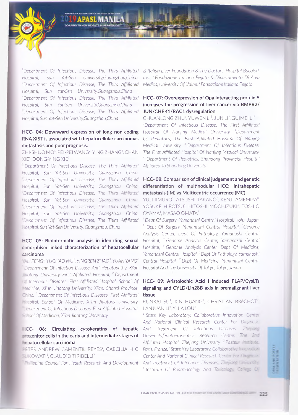*department Of Infectious Disease, The Third Affiliated Hospital,* Sun *Yat-Sen University,Guangzhou,China, department Of Infectious Disease, The Third Affiliated Hospital, Sun Yat-Sen University,Guangzhou,China , 4Department Of Infectious Disease, The Third Affiliated Hospital, Sun Yat-Sen University,Guangzhou,China , 'Department Of Infectious Disease, The Third Affiliated Hospital, Sun Yat-Sen University,Guangzhou,China*

#### HCC- 04: Downward expression of long non-coding RNA XIST is associated with hepatocellular carcinomas metastasis and poor prognosis.

ZHI-SHUO MO<sup>1</sup>, PEI-PEI WANG<sup>2</sup>, YING ZHANG<sup>3</sup>, CHAN XIE4, DONG-YING XIE5

*Department Of Infectious Disease, The Third Affiliated Hospital, Sun Yat-Sen University, Guangzhou, China, 'Department Of Infectious Disease, The Third Affiliated Hospital, Sun Yat-Sen University, Guangzhou, China, JDepartment Of Infectious Disease, The Third Affiliated Hospital, Sun Yat-Sen University, Guangzhou, China, ~Department Of Infectious Disease, The Third Affiliated Hospital, Sun Yat-Sen University, Guangzhou, China, :Department Of Infectious Disease, The Third Affiliated -ospital, Sun Yat-Sen University, Guangzhou, China*

#### HCC- 05: Bioinformatic analysis in identifing sexual dimorphism linked characterization of hepatocellular carcinoma

• A *LI FENG1, YUCHAO WU2, YINGREN ZHAO3, YUAN YANG4 1 Department Of Infection Disease And Hepatopathy, Xi'an j aotong University First Affiliated Hospital, 2 Department Z~ Infectious Diseases, First Affiliated Hospital, School Of 'edicine, Xi'an Jiaotong University, Xi'an, Shanxi Province,* China, <sup>3</sup> Department Of Infectious Diseases, First Affiliated *- 'ospital, School Of Medicine, Xi'an Jiaotong University, department Of Infectious Diseases, First Affiliated Hospital, 5: ool Of Medicine, Xi'an Jiaotong University*

# epatocellular carcinoma

*= ~ E R* ANDREW CAMENTIL REYES1, CAECILIA H С *Paris, France,4State Key Laboratory, Collaborat :e movatkm* SUKOWATI<sup>2</sup>, CLAUDIO TIRIBELLI<sup>3</sup>

I Frilippine Council For Health Research And Development And Treatment Of Infectious Diseases. Zhe ang Ikm metally

*& Italian Liver Foundation & The Doctors' Hospital Bacolod, Inc., 2 Fondazione Italiana Fegato & Dipartamento Di Area* M*edica, University Of Udine,3 Fondazione Italiana Fegato*

#### HCC- 07: Overexpression of Opa interacting protein 5 increases the progression of liver cancer via BMPR2/ JUN/CHEK1/RAC1 dysregulation

CHUANLONG ZHU<sup>1</sup>, YUWEN LI<sup>2</sup>, JUN LI<sup>3</sup>, GUIMEI LI<sup>4</sup>

*department Of Infectious Disease, The First Affiliated Hospital Of Nanjing Medical University, 2Department Of Pediatrics, The First Affiliated Hospital Of Nanjing Medical University, 3 Department Of Infectious Disease, The First Affiliated Hospital Of Nanjing Medical University, 4 Department Of Pediatrics, Shandong Provincial Hospital Affiliated To Shandong University*

#### HCC- 08: Comparison of clinical judgement and genetic differentiation of multinodular HCC; Intrahepatic metastasis (IM) vs Multicentric occurrence (MC)

YUJI IIMURO<sup>1</sup>, ATSUSHI TAKANO<sup>2</sup>, KENJI AMEMIYA<sup>3</sup>, YOSUKE HIROTSU<sup>4</sup>, HITOSHI MOCHIZUKI<sup>5</sup>, TOSHIO OYAMA6, MASAO OMATA7

1 *Dept Of Surgery, Yamanashi Central Hospital, Kofu, Japan, 2 Dept Of Surgery, Yamanashi Central Hospital, 3Genome Analysis Center, Dept Of Pathology, Yamanashi Central Hospital, 4 Genome Analysis Center, Yamanashi Central Hospital,* 5 *Genome Analysis Center, Dept Of Medicine,* Yamanashi Central Hospital, <sup>6</sup> Dept Of Pathology, Yamanashi *Central Hospital, 7 Dept Of Medicine, Yamanashi Central Hospital And The University Of Tokyo, Tokyo, Japan*

#### HCC- 09: Aristolochic Acid I induced FLAP/CysLTs signaling and CYLD/Lin28B axis in premalignant liver tissue

#### KUNKAI SU<sup>1</sup>, XIN HUANG<sup>2</sup>, CHRISTIAN BReCHOT<sup>3</sup>. LANJUAN LI<sup>4</sup>, YIJIA LOU<sup>5</sup>

-\*CC- 06: Circulating cytokeratins of hepatic *And Treatment Of Infectious Diseases, Zhejiang* **irogenitor cells in the early and intermediate stages of**  $\:$ University,"Biotherapeutics  $\%$  Research Center. The 2nd 1 *State Key Laboratory, Collaborative Innovation Cen:er And National Clinical Research Center For Diagncs's Affiliated Hospital, Zhejiang University, Pas:e^r : - : i Center And National Clinical Research Center For* Ойдпт в *5 Institute Of Pharmacology And Tax cology. College Of* 

**HALANO POSTER**<br>HESENYATION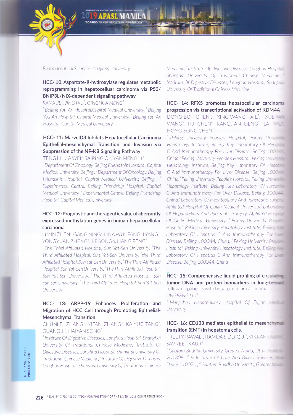

*Pharmaceutical Sciences, Zhejiang University*

#### HCC-10: Aspartate-ß-hydroxylase regulates metabolic reprogramming in hepatocelluar carcinoma via Р53/ BNIP3L/NIX-dependent signaling pathway

*RANXUE1, JING WU2, QINGHUA MENG3*

<sup>1</sup> Beijing You-An Hospital,Capital Medical University, <sup>2</sup> Beijing *You-Ап Hospital, Capital Medical University,3 Beijing You-An Hospital, Capital Medical University*

#### HCC- 11: MarvelD3 Inhibits Hepatocellular Carcinoma Epithelial-mesenchymal Transition and Invasion via Suppression of the NF-KB Signaling Pathway

TENG LI<sup>1</sup>, JIA WEI<sup>2</sup>, SAIPING QI<sup>3</sup>, YANMENG LI<sup>4</sup> *1 Department Of Oncology, Beijing Friendship Hospital, Capital Medical University, Beijing, <sup>2</sup> Department Of Oncology, Beijing Friendship Hospital, Capital Medical University, Beijing , 3 Experimental Centre, Beijing Friendship Hospital, Capital Medical University, <sup>4</sup> Experimental Centre, Beijing Friendship Hospital, Capital Medical University*

#### HCC-12: Prognostic and therapeutic value of aberrantly expressed methylation genes in human hepatocellular carcinoma

LIMIN ZHEN<sup>1</sup>, GANG NING<sup>2</sup>. LINA WU<sup>3</sup>, FANGJI YANG<sup>4</sup>, YONGYUAN ZHENG<sup>5</sup>, JIE SONG6, LIANG PENG<sup>7</sup>

<sup>1</sup> The Third Affiliated Hospital, Sun Yat-Sen University, <sup>2</sup>The *Third Affiliated Hospital, Sun Yat-Sen University, 3the Third Affiliated Hospital, Sun Yat-Sen University,4 The Third Affiliated Hospital, Sun Yat-Sen University, 5The Third Affiliated Hospital, Sun Yat-Sen University, 6 The Third Affiliated Hospital, Sun Yat-Sen University,<sup>7</sup> The Third Affiliated Hospital, Sun Yat-Sen University*

#### HCC- 13: ARPP-19 Enhances Proliferation and Migration of HCC Cell through Promoting Epithelial-Mesenchymal Transition

CHUNLEI ZHANG<sup>1</sup>, YIFAN ZHANG<sup>2</sup>, KAIYUE TANG<sup>3</sup>, GUANG JI<sup>4</sup>, HAIYAN SONG<sup>5</sup>

*1 Institute Of Digestive Diseases, Longhua Hospital, Shanghai University Of Traditional Chinese Medicine, 2lnstitute Of Digestive Diseases, Longhua Hospital, Shanghai University Of Traditional Chinese Medicine*,<sup>3</sup> Institute Of Digestive Diseases, *Longhua Hospital, Shanghai University Of Traditional Chinese* *Medicine,<sup>4</sup> Institute Of Digestive Diseases, Longhua Hospita. Shanghai University Of Traditional Chinese Medicine.* ; *Institute Of Digestive Diseases, Longhua Hospital, Shanghai University Of Traditional Chinese Medicine*

HCC- 14: RFX5 promotes hepatocellular carcinoma progression via transcriptional activation of KDM4A DONG-BO CHEN<sup>1</sup>, XING-WANG XIE<sup>2</sup>, XUE-YAN WANG<sup>3</sup>, PU CHEN<sup>4</sup>, KANGJIAN DENG<sup>5</sup>, LAI ME HONG-SONG CHEN<sup>7</sup>

<sup>1</sup> Peking University People's Hospital, Peking University *Hepatology Institute, Beijing Key Laboratory Of Hepcr* rs С *And Immunotherapy For Liver Disease, Beijing lOOC-?— China<sup>2</sup> Peking University People's Hospital, Peking Univers Hepatology Institute, Beijing Key Laboratory Of Hep-С* And Immunotherapy For Liver Disease, Beijing 10  $\alpha$  -*China,<sup>3</sup> Peking University People's Hospital, Peking Unive Hepatology Institute, Beijing Key Laboratory Of Hepatrus* С And Immunotherapy For Liver Disease, Beijing 100С-*China,<sup>4</sup> Laboratory Of Hepatobiliary And Pancreatic Surger Affiliated Hospital Of Guilin Medical University,<sup>5</sup> Laborszyr Of Hepatobiliary And Pancreatic Surgery, Affiliated Hospitz Of Guilin Medical University, <sup>6</sup> Peking University Pecoeurs Hospital, Peking University Hepatology Institute, Beijirg щ Ж* Laboratory Of Hepatitis C And Immunotherapy For Links *Disease, Beijing 100044, China, <sup>7</sup> Peking University Рессия Hospital, Peking University Hepatology Institute, Beijir= Laboratory Of Hepatitis С And Immunotherapy For*  $\Box$ *Disease, Beijing 100044, China*

HCC- 15: Comprehensive liquid profiling of circula tumor DNA and protein biomarkers in long-ter $\equiv$ follow-up patients with hepatocellular carcinoma *JINGFENGLIU1*

<sup>1</sup> Mengchao Hepatobiliary Hospital Of Fujian *University*

#### HCC- 16: CD133 mediates epithelial to mesench transition (EMT) in hepatoma cells.

PREETY RAWAL<sup>1</sup>, HAMDA SIDDIQUI<sup>2</sup>, VIKRANT N -SAVNEET KAUR<sup>4</sup>

<sup>1</sup> Gautam Buddha University, Greater Noida, Uttar Prageme *201308., 2 & Institute Of Liver And Biliary Sciences Delhi-110070. ,3 Gautam Buddha University, Greater*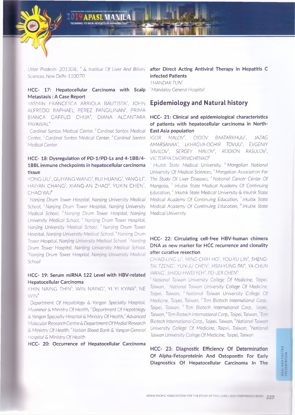

*Sciences, New Delhi-110070*

#### HCC- 17: Hepatocellular Carcinoma with Scalp Metastasis : A Case Report

YASMIN FRANCESCA ARRIOLA BAUTISTA<sup>1</sup>, JOHN ALFREDO RAPHAEL PEREZ PANGILINAN<sup>2</sup>, PRIMA BIANCA GAFFUD CHUA<sup>3</sup>, DIANA ALCANTARA **HCC- 21: Clinical and epidemiological characteristics** PAYAWAL<sup>4</sup>

<sup>:</sup> Cardinal Santos Medical Center, <sup>2</sup> Cardinal Santos Medical *Center, 3 Cardinal Santos Medical Center, 4 Cardinal Santos Medical Center*

#### HCC- 18: Dysregulation of PD-1/PD-Ls and 4-1BB/4-1BBL immune checkpoints in hepatocellular carcinoma tissue

YONG LIU<sup>1</sup>, GUIYANG WANG<sup>2</sup>, RUI HUANG<sup>3</sup>, YANG LI<sup>4</sup>, HAIYAN CHANG<sup>5</sup>, XIANG-AN ZHAO<sup>6</sup>, YUXIN CHEN<sup>7</sup>, CHAO WU<sup>8</sup>

; *Nanjing Drum Tower Hospital, Nanjing University Medical School,* 2 *Nanjing Drum Tower Hospital, Nanjing University Medical School, 3 Nanjing Drum Tower Hospital, Nanjing University Medical School, 4 Nanjing Drum Tower Hospital, Nanjing University Medical School, 5 Nanjing Drum Tower Hospital, Nanjing University Medical School, <sup>6</sup> Nanjing Drum Tower Hospital, Nanjing University Medical School. Nanjing Drum Tower Hospital, Nanjing University Medical School, Nanjing Drum Tower Hospital, Nanjing University Medical School*

#### HCC- 19: Serum miRNA 122 Level with HBV-related Hepatocellular Carcinoma

KHIN NAING THIN<sup>1</sup>, WIN NAING<sup>2</sup>, YI YI KYAW<sup>3</sup>, NE  $WIN<sup>4</sup>$ 

: *Department Of Hepatology* & *Yangon Specialty Hospital, Myanmar & Ministry Of Health,<sup>2</sup> Department Of Hepatology & Yangon Specialty Hospital & Ministry Of Health,3 Advanced Molecular Research Centre & Department Of Medial Research & Ministry Of Health,4 Nation Blood Bank & Yangon General Hospital & Ministry Of Health*

HCC- 20: Occurrence of Hepatocellular Carcinoma

#### *Uttar Pradesh- 201308., 4 & Institue Of Liver And Biliary* after Direct Acting Antiviral Therapy in Hepatitis С infected Patients

*THANDAR TUN1 Mandalay General Hospital*

#### **Epidemiology and Natural history**

## of patients with hepatocellular carcinoma in North-East Asia population

*IGOR MALOV1, OIDOV BAATARKHUU2, JAZAG AMARSANAA3, LKHAGVA-OCHIR TOVUU4, EVGENIY SAVILOV5, SERGEY MALOV6, RODION RASULOV7, VICTORYA DVORNICHENKO8*

1 *Irkutsk State Medical University, 2 Mongolian National University Of Medical Sciences,3 Mongolian Association For The Study Of Liver Diseases,* 4 *National Cancer Center Of Mongolia, 5 Irkutsk State Medical Academy Of Continuing Education,6 Irkutsk State Medical University & Irkutsk State Medical Academy Of Continuing Education, 7 Irkutsk State Medical Academy Of Continuing Education, 8 Irkutsk State Medical University*

#### HCC- 22: Circulating cell-free HBV-human chimera DNA as new marker for HCC recurrence and clonality after curative resection

*CHIAO-LING LI1, MING-CHIH HO2, YOU-YU LIN3, SHENG-TAI TZENG4, YUN-JU CHEN5, HSIN-YUNG PAI6, YA-CHUN WANG7, SHIOU-HWEIYEHS. PEI-JER CHEN9*

*1 National Taiwan University College Of Medicine, Taipei, Taiwan, 2 National Taiwan University College Of Medicine, Taipei, Taiwan,* " *National Taiwan University College Of Medicine, Taipei, Taiwan, 4 Tcm Biotech International Corp.. Taipei, Taiwan,* 3 Tcm *Biotech International Corp., Taipe:. Taiwan,6 Tcm Biotech International Corp., Taipei, Taiwan, Ter* Biotech International Corp., Taipei, Taiwan, <sup>8</sup> National Taiwan *University College Of Medicine, Taipei, Taiwan, 9National Taiwan University College Of Medicine, Taipei, Taiwan*

HCC- 23: Diagnostic Efficiency Of Determination Of Alpha-Fetoproteinin And Ostopontin For Early Diagnostics Of Hepatocellular Carcinoma In The